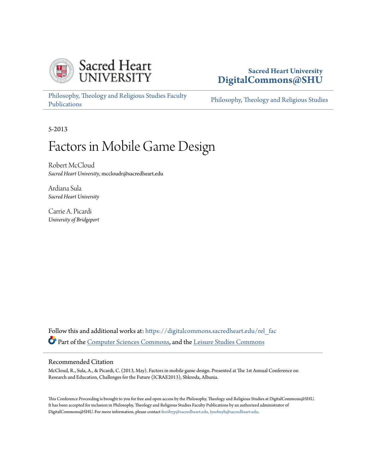

# **Sacred Heart University [DigitalCommons@SHU](https://digitalcommons.sacredheart.edu?utm_source=digitalcommons.sacredheart.edu%2Frel_fac%2F106&utm_medium=PDF&utm_campaign=PDFCoverPages)**

[Philosophy, Theology and Religious Studies Faculty](https://digitalcommons.sacredheart.edu/rel_fac?utm_source=digitalcommons.sacredheart.edu%2Frel_fac%2F106&utm_medium=PDF&utm_campaign=PDFCoverPages) [Publications](https://digitalcommons.sacredheart.edu/rel_fac?utm_source=digitalcommons.sacredheart.edu%2Frel_fac%2F106&utm_medium=PDF&utm_campaign=PDFCoverPages)

[Philosophy, Theology and Religious Studies](https://digitalcommons.sacredheart.edu/rel?utm_source=digitalcommons.sacredheart.edu%2Frel_fac%2F106&utm_medium=PDF&utm_campaign=PDFCoverPages)

5-2013

# Factors in Mobile Game Design

Robert McCloud *Sacred Heart University*, mccloudr@sacredheart.edu

Ardiana Sula *Sacred Heart University*

Carrie A. Picardi *University of Bridgeport*

Follow this and additional works at: [https://digitalcommons.sacredheart.edu/rel\\_fac](https://digitalcommons.sacredheart.edu/rel_fac?utm_source=digitalcommons.sacredheart.edu%2Frel_fac%2F106&utm_medium=PDF&utm_campaign=PDFCoverPages) Part of the [Computer Sciences Commons](http://network.bepress.com/hgg/discipline/142?utm_source=digitalcommons.sacredheart.edu%2Frel_fac%2F106&utm_medium=PDF&utm_campaign=PDFCoverPages), and the [Leisure Studies Commons](http://network.bepress.com/hgg/discipline/1197?utm_source=digitalcommons.sacredheart.edu%2Frel_fac%2F106&utm_medium=PDF&utm_campaign=PDFCoverPages)

#### Recommended Citation

McCloud, R., Sula, A., & Picardi, C. (2013, May). Factors in mobile game design. Presented at The 1st Annual Conference on Research and Education, Challenges for the Future (ICRAE2013), Shkroda, Albania.

This Conference Proceeding is brought to you for free and open access by the Philosophy, Theology and Religious Studies at DigitalCommons@SHU. It has been accepted for inclusion in Philosophy, Theology and Religious Studies Faculty Publications by an authorized administrator of DigitalCommons@SHU. For more information, please contact [ferribyp@sacredheart.edu, lysobeyb@sacredheart.edu.](mailto:ferribyp@sacredheart.edu,%20lysobeyb@sacredheart.edu)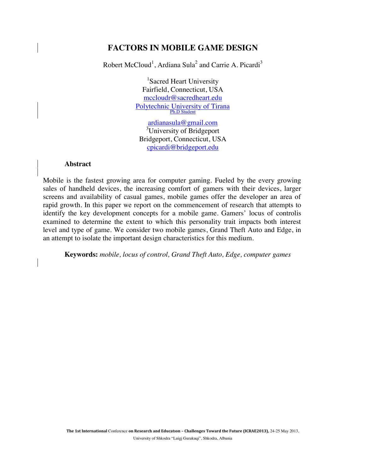## **FACTORS IN MOBILE GAME DESIGN**

Robert McCloud<sup>1</sup>, Ardiana Sula<sup>2</sup> and Carrie A. Picardi<sup>3</sup>

<sup>1</sup>Sacred Heart University Fairfield, Connecticut, USA mccloudr@sacredheart.edu Polytechnic University of Tirana Ph.D Student

ardianasula@gmail.com <sup>3</sup>University of Bridgeport Bridgeport, Connecticut, USA cpicardi@bridgeport.edu

#### **Abstract**

Mobile is the fastest growing area for computer gaming. Fueled by the every growing sales of handheld devices, the increasing comfort of gamers with their devices, larger screens and availability of casual games, mobile games offer the developer an area of rapid growth. In this paper we report on the commencement of research that attempts to identify the key development concepts for a mobile game. Gamers' locus of controlis examined to determine the extent to which this personality trait impacts both interest level and type of game. We consider two mobile games, Grand Theft Auto and Edge, in an attempt to isolate the important design characteristics for this medium.

**Keywords:** *mobile, locus of control, Grand Theft Auto, Edge, computer games*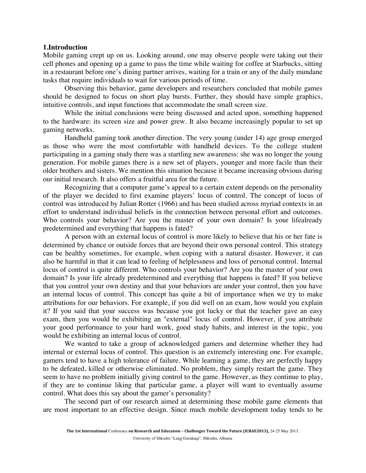#### **1.Introduction**

Mobile gaming crept up on us. Looking around, one may observe people were taking out their cell phones and opening up a game to pass the time while waiting for coffee at Starbucks, sitting in a restaurant before one's dining partner arrives, waiting for a train or any of the daily mundane tasks that require individuals to wait for various periods of time.

Observing this behavior, game developers and researchers concluded that mobile games should be designed to focus on short play bursts. Further, they should have simple graphics, intuitive controls, and input functions that accommodate the small screen size.

While the initial conclusions were being discussed and acted upon, something happened to the hardware: its screen size and power grew. It also became increasingly popular to set up gaming networks.

Handheld gaming took another direction. The very young (under 14) age group emerged as those who were the most comfortable with handheld devices. To the college student participating in a gaming study there was a startling new awareness: she was no longer the young generation. For mobile games there is a new set of players, younger and more facile than their older brothers and sisters. We mention this situation because it became increasing obvious during our initial research. It also offers a fruitful area for the future.

Recognizing that a computer game's appeal to a certain extent depends on the personality of the player we decided to first examine players' locus of control. The concept of locus of control was introduced by Julian Rotter (1966) and has been studied across myriad contexts in an effort to understand individual beliefs in the connection between personal effort and outcomes. Who controls your behavior? Are you the master of your own domain? Is your lifealready predetermined and everything that happens is fated?

A person with an external locus of control is more likely to believe that his or her fate is determined by chance or outside forces that are beyond their own personal control. This strategy can be healthy sometimes, for example, when coping with a natural disaster. However, it can also be harmful in that it can lead to feeling of helplessness and loss of personal control. Internal locus of control is quite different. Who controls your behavior? Are you the master of your own domain? Is your life already predetermined and everything that happens is fated? If you believe that you control your own destiny and that your behaviors are under your control, then you have an internal locus of control. This concept has quite a bit of importance when we try to make attributions for our behaviors. For example, if you did well on an exam, how would you explain it? If you said that your success was because you got lucky or that the teacher gave an easy exam, then you would be exhibiting an "external" locus of control. However, if you attribute your good performance to your hard work, good study habits, and interest in the topic, you would be exhibiting an internal locus of control.

We wanted to take a group of acknowledged gamers and determine whether they had internal or external locus of control. This question is an extremely interesting one. For example, gamers tend to have a high tolerance of failure. While learning a game, they are perfectly happy to be defeated, killed or otherwise eliminated. No problem, they simply restart the game. They seem to have no problem initially giving control to the game. However, as they continue to play, if they are to continue liking that particular game, a player will want to eventually assume control. What does this say about the gamer's personality?

The second part of our research aimed at determining those mobile game elements that are most important to an effective design. Since much mobile development today tends to be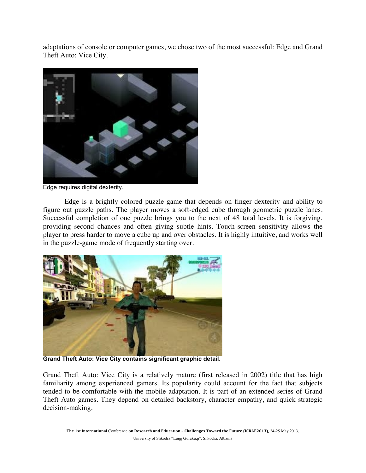adaptations of console or computer games, we chose two of the most successful: Edge and Grand Theft Auto: Vice City.



Edge requires digital dexterity.

Edge is a brightly colored puzzle game that depends on finger dexterity and ability to figure out puzzle paths. The player moves a soft-edged cube through geometric puzzle lanes. Successful completion of one puzzle brings you to the next of 48 total levels. It is forgiving, providing second chances and often giving subtle hints. Touch-screen sensitivity allows the player to press harder to move a cube up and over obstacles. It is highly intuitive, and works well in the puzzle-game mode of frequently starting over.



Grand Theft Auto: Vice City contains significant graphic detail.

Grand Theft Auto: Vice City is a relatively mature (first released in 2002) title that has high familiarity among experienced gamers. Its popularity could account for the fact that subjects tended to be comfortable with the mobile adaptation. It is part of an extended series of Grand Theft Auto games. They depend on detailed backstory, character empathy, and quick strategic decision-making.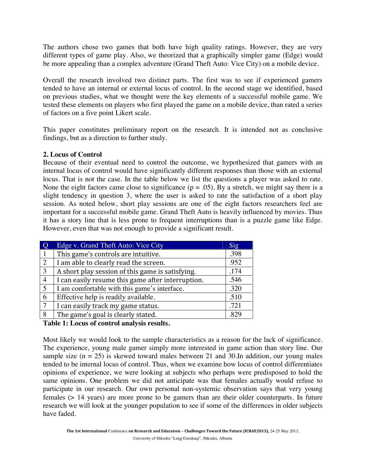The authors chose two games that both have high quality ratings. However, they are very different types of game play. Also, we theorized that a graphically simpler game (Edge) would be more appealing than a complex adventure (Grand Theft Auto: Vice City) on a mobile device.

Overall the research involved two distinct parts. The first was to see if experienced gamers tended to have an internal or external locus of control. In the second stage we identified, based on previous studies, what we thought were the key elements of a successful mobile game. We tested these elements on players who first played the game on a mobile device, than rated a series of factors on a five point Likert scale.

This paper constitutes preliminary report on the research. It is intended not as conclusive findings, but as a direction to further study.

## **2. Locus of Control**

Because of their eventual need to control the outcome, we hypothesized that gamers with an internal locus of control would have significantly different responses than those with an external locus. That is not the case. In the table below we list the questions a player was asked to rate. None the eight factors came close to significance ( $p = .05$ ). By a stretch, we might say there is a slight tendency in question 3, where the user is asked to rate the satisfaction of a short play session. As noted below, short play sessions are one of the eight factors researchers feel are important for a successful mobile game. Grand Theft Auto is heavily influenced by movies. Thus it has a story line that is less prone to frequent interruptions than is a puzzle game like Edge. However, even that was not enough to provide a significant result.

|                | Edge v. Grand Theft Auto: Vice City               | Sig  |
|----------------|---------------------------------------------------|------|
|                | This game's controls are intuitive.               | .398 |
| 2              | I am able to clearly read the screen.             | .952 |
| 3              | A short play session of this game is satisfying.  | .174 |
| $\overline{4}$ | I can easily resume this game after interruption. | .546 |
| 5              | I am comfortable with this game's interface.      | .320 |
| 6              | Effective help is readily available.              | .510 |
| 7              | I can easily track my game status.                | .721 |
| 8              | The game's goal is clearly stated.                | .829 |

#### **Table 1: Locus of control analysis results.**

Most likely we would look to the sample characteristics as a reason for the lack of significance. The experience, young male gamer simply more interested in game action than story line. Our sample size  $(n = 25)$  is skewed toward males between 21 and 30. In addition, our young males tended to be internal locus of control. Thus, when we examine how locus of control differentiates opinions of experience, we were looking at subjects who perhaps were predisposed to hold the same opinions. One problem we did not anticipate was that females actually would refuse to participate in our research. Our own personal non-systemic observation says that very young females (> 14 years) are more prone to be gamers than are their older counterparts. In future research we will look at the younger population to see if some of the differences in older subjects have faded.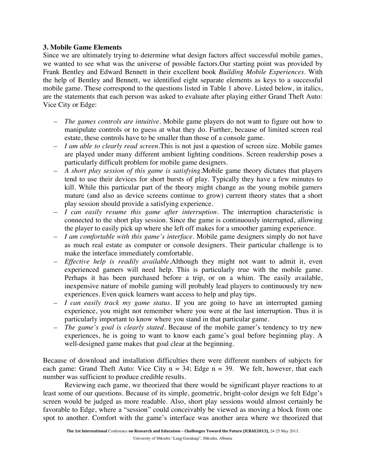#### **3. Mobile Game Elements**

Since we are ultimately trying to determine what design factors affect successful mobile games, we wanted to see what was the universe of possible factors.Our starting point was provided by Frank Bentley and Edward Bennett in their excellent book *Building Mobile Experiences*. With the help of Bentley and Bennett, we identified eight separate elements as keys to a successful mobile game. These correspond to the questions listed in Table 1 above. Listed below, in italics, are the statements that each person was asked to evaluate after playing either Grand Theft Auto: Vice City or Edge:

- *The games controls are intuitive*. Mobile game players do not want to figure out how to manipulate controls or to guess at what they do. Further, because of limited screen real estate, these controls have to be smaller than those of a console game.
- *I am able to clearly read screen*.This is not just a question of screen size. Mobile games are played under many different ambient lighting conditions. Screen readership poses a particularly difficult problem for mobile game designers.
- *A short play session of this game is satisfying*.Mobile game theory dictates that players tend to use their devices for short bursts of play. Typically they have a few minutes to kill. While this particular part of the theory might change as the young mobile gamers mature (and also as device screens continue to grow) current theory states that a short play session should provide a satisfying experience.
- *I can easily resume this game after interruption*. The interruption characteristic is connected to the short play session. Since the game is continuously interrupted, allowing the player to easily pick up where she left off makes for a smoother gaming experience.
- *I am comfortable with this game's interface*. Mobile game designers simply do not have as much real estate as computer or console designers. Their particular challenge is to make the interface immediately comfortable.
- *Effective help is readily available*.Although they might not want to admit it, even experienced gamers will need help. This is particularly true with the mobile game. Perhaps it has been purchased before a trip, or on a whim. The easily available, inexpensive nature of mobile gaming will probably lead players to continuously try new experiences. Even quick learners want access to help and play tips.
- *I can easily track my game status*. If you are going to have an interrupted gaming experience, you might not remember where you were at the last interruption. Thus it is particularly important to know where you stand in that particular game.
- *The game's goal is clearly stated*. Because of the mobile gamer's tendency to try new experiences, he is going to want to know each game's goal before beginning play. A well-designed game makes that goal clear at the beginning.

Because of download and installation difficulties there were different numbers of subjects for each game: Grand Theft Auto: Vice City  $n = 34$ ; Edge  $n = 39$ . We felt, however, that each number was sufficient to produce credible results.

Reviewing each game, we theorized that there would be significant player reactions to at least some of our questions. Because of its simple, geometric, bright-color design we felt Edge's screen would be judged as more readable. Also, short play sessions would almost certainly be favorable to Edge, where a "session" could conceivably be viewed as moving a block from one spot to another. Comfort with the game's interface was another area where we theorized that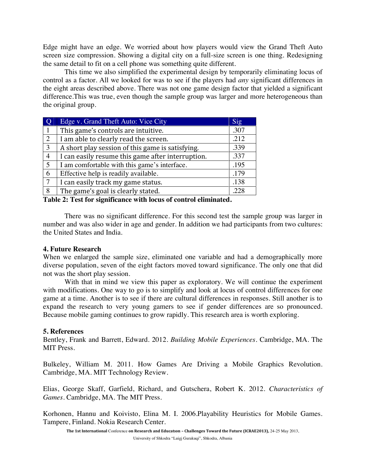Edge might have an edge. We worried about how players would view the Grand Theft Auto screen size compression. Showing a digital city on a full-size screen is one thing. Redesigning the same detail to fit on a cell phone was something quite different.

This time we also simplified the experimental design by temporarily eliminating locus of control as a factor. All we looked for was to see if the players had *any* significant differences in the eight areas described above. There was not one game design factor that yielded a significant difference.This was true, even though the sample group was larger and more heterogeneous than the original group.

|                | Edge v. Grand Theft Auto: Vice City               | Sig  |
|----------------|---------------------------------------------------|------|
|                | This game's controls are intuitive.               | .307 |
| 2              | I am able to clearly read the screen.             | .212 |
| 3              | A short play session of this game is satisfying.  | .339 |
| $\overline{4}$ | I can easily resume this game after interruption. | .337 |
| 5              | I am comfortable with this game's interface.      | .195 |
| 6              | Effective help is readily available.              | .179 |
| $\overline{7}$ | I can easily track my game status.                | .138 |
| 8              | The game's goal is clearly stated.                | .228 |

**Table 2: Test for significance with locus of control eliminated.**

There was no significant difference. For this second test the sample group was larger in number and was also wider in age and gender. In addition we had participants from two cultures: the United States and India.

## **4. Future Research**

When we enlarged the sample size, eliminated one variable and had a demographically more diverse population, seven of the eight factors moved toward significance. The only one that did not was the short play session.

With that in mind we view this paper as exploratory. We will continue the experiment with modifications. One way to go is to simplify and look at locus of control differences for one game at a time. Another is to see if there are cultural differences in responses. Still another is to expand the research to very young gamers to see if gender differences are so pronounced. Because mobile gaming continues to grow rapidly. This research area is worth exploring.

## **5. References**

Bentley, Frank and Barrett, Edward. 2012. *Building Mobile Experiences*. Cambridge, MA. The MIT Press.

Bulkeley, William M. 2011. How Games Are Driving a Mobile Graphics Revolution. Cambridge, MA. MIT Technology Review.

Elias, George Skaff, Garfield, Richard, and Gutschera, Robert K. 2012. *Characteristics of Games*. Cambridge, MA. The MIT Press.

Korhonen, Hannu and Koivisto, Elina M. I. 2006.Playability Heuristics for Mobile Games. Tampere, Finland. Nokia Research Center.